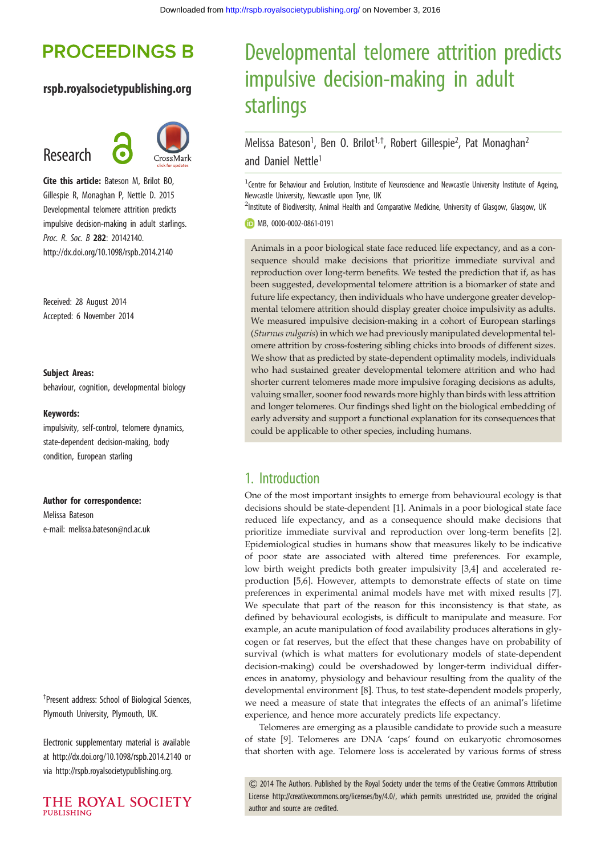# **PROCEEDINGS B**

# rspb.royalsocietypublishing.org

# Research



Cite this article: Bateson M, Brilot BO, Gillespie R, Monaghan P, Nettle D. 2015 Developmental telomere attrition predicts impulsive decision-making in adult starlings. Proc. R. Soc. B 282: 20142140. http://dx.doi.org/10.1098/rspb.2014.2140

Received: 28 August 2014 Accepted: 6 November 2014

#### Subject Areas:

behaviour, cognition, developmental biology

#### Keywords:

impulsivity, self-control, telomere dynamics, state-dependent decision-making, body condition, European starling

Author for correspondence:

Melissa Bateson e-mail: [melissa.bateson@ncl.ac.uk](mailto:melissa.bateson@ncl.ac.uk)

† Present address: School of Biological Sciences, Plymouth University, Plymouth, UK.

Electronic supplementary material is available at<http://dx.doi.org/10.1098/rspb.2014.2140> or via<http://rspb.royalsocietypublishing.org>.

THE ROYAL SOCIETY PURLISHING

# Developmental telomere attrition predicts impulsive decision-making in adult starlings

# Melissa Bateson<sup>1</sup>, Ben O. Brilot<sup>1,†</sup>, Robert Gillespie<sup>2</sup>, Pat Monaghan<sup>2</sup> and Daniel Nettle<sup>1</sup>

<sup>1</sup> Centre for Behaviour and Evolution, Institute of Neuroscience and Newcastle University Institute of Ageing, Newcastle University, Newcastle upon Tyne, UK

<sup>2</sup>Institute of Biodiversity, Animal Health and Comparative Medicine, University of Glasgow, Glasgow, UK

MB, [0000-0002-0861-0191](http://orcid.org/0000-0002-0861-0191)

Animals in a poor biological state face reduced life expectancy, and as a consequence should make decisions that prioritize immediate survival and reproduction over long-term benefits. We tested the prediction that if, as has been suggested, developmental telomere attrition is a biomarker of state and future life expectancy, then individuals who have undergone greater developmental telomere attrition should display greater choice impulsivity as adults. We measured impulsive decision-making in a cohort of European starlings (Sturnus vulgaris) in which we had previously manipulated developmental telomere attrition by cross-fostering sibling chicks into broods of different sizes. We show that as predicted by state-dependent optimality models, individuals who had sustained greater developmental telomere attrition and who had shorter current telomeres made more impulsive foraging decisions as adults, valuing smaller, sooner food rewards more highly than birds with less attrition and longer telomeres. Our findings shed light on the biological embedding of early adversity and support a functional explanation for its consequences that could be applicable to other species, including humans.

# 1. Introduction

One of the most important insights to emerge from behavioural ecology is that decisions should be state-dependent [[1](#page-5-0)]. Animals in a poor biological state face reduced life expectancy, and as a consequence should make decisions that prioritize immediate survival and reproduction over long-term benefits [\[2\]](#page-5-0). Epidemiological studies in humans show that measures likely to be indicative of poor state are associated with altered time preferences. For example, low birth weight predicts both greater impulsivity [[3](#page-5-0),[4](#page-5-0)] and accelerated reproduction [[5,6\]](#page-5-0). However, attempts to demonstrate effects of state on time preferences in experimental animal models have met with mixed results [\[7\]](#page-5-0). We speculate that part of the reason for this inconsistency is that state, as defined by behavioural ecologists, is difficult to manipulate and measure. For example, an acute manipulation of food availability produces alterations in glycogen or fat reserves, but the effect that these changes have on probability of survival (which is what matters for evolutionary models of state-dependent decision-making) could be overshadowed by longer-term individual differences in anatomy, physiology and behaviour resulting from the quality of the developmental environment [\[8\]](#page-6-0). Thus, to test state-dependent models properly, we need a measure of state that integrates the effects of an animal's lifetime experience, and hence more accurately predicts life expectancy.

Telomeres are emerging as a plausible candidate to provide such a measure of state [\[9\]](#page-6-0). Telomeres are DNA 'caps' found on eukaryotic chromosomes that shorten with age. Telomere loss is accelerated by various forms of stress

& 2014 The Authors. Published by the Royal Society under the terms of the Creative Commons Attribution License http://creativecommons.org/licenses/by/4.0/, which permits unrestricted use, provided the original author and source are credited.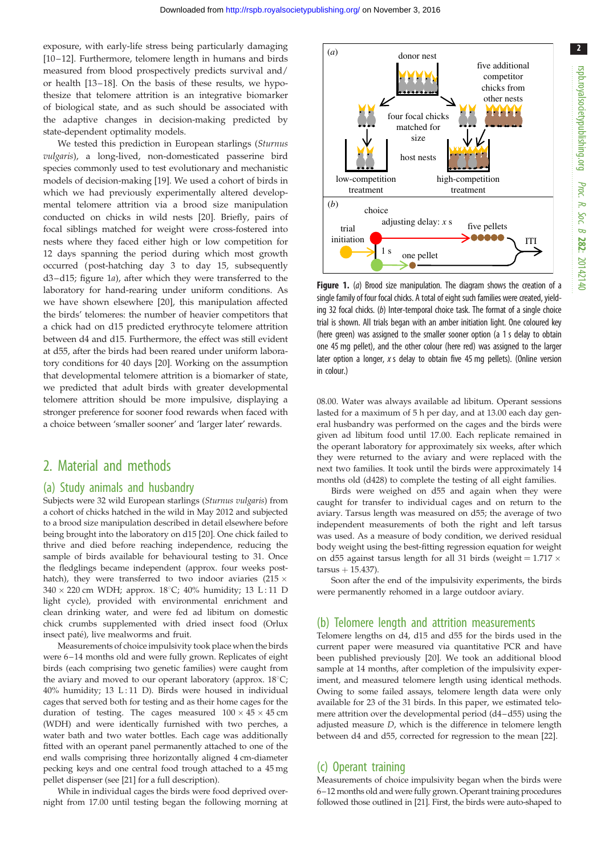<span id="page-1-0"></span>exposure, with early-life stress being particularly damaging [\[10](#page-6-0) –[12\]](#page-6-0). Furthermore, telomere length in humans and birds measured from blood prospectively predicts survival and/ or health [\[13](#page-6-0)–[18\]](#page-6-0). On the basis of these results, we hypothesize that telomere attrition is an integrative biomarker of biological state, and as such should be associated with the adaptive changes in decision-making predicted by state-dependent optimality models.

We tested this prediction in European starlings (Sturnus vulgaris), a long-lived, non-domesticated passerine bird species commonly used to test evolutionary and mechanistic models of decision-making [[19\]](#page-6-0). We used a cohort of birds in which we had previously experimentally altered developmental telomere attrition via a brood size manipulation conducted on chicks in wild nests [[20\]](#page-6-0). Briefly, pairs of focal siblings matched for weight were cross-fostered into nests where they faced either high or low competition for 12 days spanning the period during which most growth occurred (post-hatching day 3 to day 15, subsequently d3–d15; figure 1a), after which they were transferred to the laboratory for hand-rearing under uniform conditions. As we have shown elsewhere [\[20](#page-6-0)], this manipulation affected the birds' telomeres: the number of heavier competitors that a chick had on d15 predicted erythrocyte telomere attrition between d4 and d15. Furthermore, the effect was still evident at d55, after the birds had been reared under uniform laboratory conditions for 40 days [\[20](#page-6-0)]. Working on the assumption that developmental telomere attrition is a biomarker of state, we predicted that adult birds with greater developmental telomere attrition should be more impulsive, displaying a stronger preference for sooner food rewards when faced with a choice between 'smaller sooner' and 'larger later' rewards.

# 2. Material and methods

#### (a) Study animals and husbandry

Subjects were 32 wild European starlings (Sturnus vulgaris) from a cohort of chicks hatched in the wild in May 2012 and subjected to a brood size manipulation described in detail elsewhere before being brought into the laboratory on d15 [\[20\]](#page-6-0). One chick failed to thrive and died before reaching independence, reducing the sample of birds available for behavioural testing to 31. Once the fledglings became independent (approx. four weeks posthatch), they were transferred to two indoor aviaries (215  $\times$ 340 × 220 cm WDH; approx. 18°C; 40% humidity; 13 L :11 D light cycle), provided with environmental enrichment and clean drinking water, and were fed ad libitum on domestic chick crumbs supplemented with dried insect food (Orlux insect paté), live mealworms and fruit.

Measurements of choice impulsivity took place when the birds were 6-14 months old and were fully grown. Replicates of eight birds (each comprising two genetic families) were caught from the aviary and moved to our operant laboratory (approx.  $18^{\circ}$ C;  $40\%$  humidity; 13 L:11 D). Birds were housed in individual cages that served both for testing and as their home cages for the duration of testing. The cages measured  $100 \times 45 \times 45$  cm (WDH) and were identically furnished with two perches, a water bath and two water bottles. Each cage was additionally fitted with an operant panel permanently attached to one of the end walls comprising three horizontally aligned 4 cm-diameter pecking keys and one central food trough attached to a 45 mg pellet dispenser (see [\[21\]](#page-6-0) for a full description).

While in individual cages the birds were food deprived overnight from 17.00 until testing began the following morning at



Figure 1. ( $a$ ) Brood size manipulation. The diagram shows the creation of a single family of four focal chicks. A total of eight such families were created, yielding 32 focal chicks. (b) Inter-temporal choice task. The format of a single choice trial is shown. All trials began with an amber initiation light. One coloured key (here green) was assigned to the smaller sooner option (a 1 s delay to obtain one 45 mg pellet), and the other colour (here red) was assigned to the larger later option a longer, x s delay to obtain five 45 mg pellets). (Online version in colour.)

08.00. Water was always available ad libitum. Operant sessions lasted for a maximum of 5 h per day, and at 13.00 each day general husbandry was performed on the cages and the birds were given ad libitum food until 17.00. Each replicate remained in the operant laboratory for approximately six weeks, after which they were returned to the aviary and were replaced with the next two families. It took until the birds were approximately 14 months old (d428) to complete the testing of all eight families.

Birds were weighed on d55 and again when they were caught for transfer to individual cages and on return to the aviary. Tarsus length was measured on d55; the average of two independent measurements of both the right and left tarsus was used. As a measure of body condition, we derived residual body weight using the best-fitting regression equation for weight on d55 against tarsus length for all 31 birds (weight =  $1.717 \times$  $tarsus + 15.437$ ).

Soon after the end of the impulsivity experiments, the birds were permanently rehomed in a large outdoor aviary.

#### (b) Telomere length and attrition measurements

Telomere lengths on d4, d15 and d55 for the birds used in the current paper were measured via quantitative PCR and have been published previously [\[20\]](#page-6-0). We took an additional blood sample at 14 months, after completion of the impulsivity experiment, and measured telomere length using identical methods. Owing to some failed assays, telomere length data were only available for 23 of the 31 birds. In this paper, we estimated telomere attrition over the developmental period (d4 –d55) using the adjusted measure D, which is the difference in telomere length between d4 and d55, corrected for regression to the mean [[22](#page-6-0)].

#### (c) Operant training

Measurements of choice impulsivity began when the birds were 6–12 months old and were fully grown. Operant training procedures followed those outlined in [[21\]](#page-6-0). First, the birds were auto-shaped to 2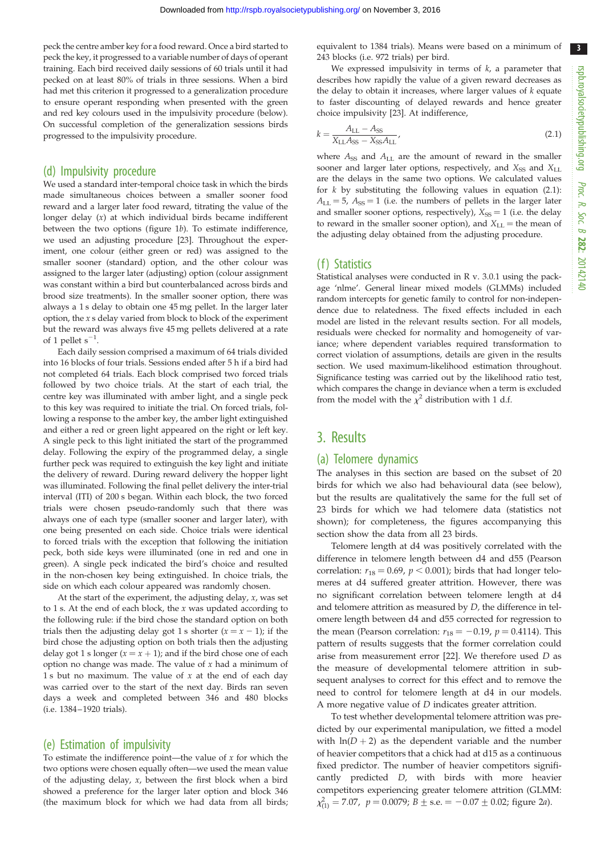peck the centre amber key for a food reward. Once a bird started to peck the key, it progressed to a variable number of days of operant training. Each bird received daily sessions of 60 trials until it had pecked on at least 80% of trials in three sessions. When a bird had met this criterion it progressed to a generalization procedure to ensure operant responding when presented with the green and red key colours used in the impulsivity procedure (below). On successful completion of the generalization sessions birds progressed to the impulsivity procedure.

## (d) Impulsivity procedure

We used a standard inter-temporal choice task in which the birds made simultaneous choices between a smaller sooner food reward and a larger later food reward, titrating the value of the longer delay (x) at which individual birds became indifferent between the two options ([figure 1](#page-1-0)b). To estimate indifference, we used an adjusting procedure [\[23\]](#page-6-0). Throughout the experiment, one colour (either green or red) was assigned to the smaller sooner (standard) option, and the other colour was assigned to the larger later (adjusting) option (colour assignment was constant within a bird but counterbalanced across birds and brood size treatments). In the smaller sooner option, there was always a 1 s delay to obtain one 45 mg pellet. In the larger later option, the  $x$  s delay varied from block to block of the experiment but the reward was always five 45 mg pellets delivered at a rate of 1 pellet  $s^{-1}$ .

Each daily session comprised a maximum of 64 trials divided into 16 blocks of four trials. Sessions ended after 5 h if a bird had not completed 64 trials. Each block comprised two forced trials followed by two choice trials. At the start of each trial, the centre key was illuminated with amber light, and a single peck to this key was required to initiate the trial. On forced trials, following a response to the amber key, the amber light extinguished and either a red or green light appeared on the right or left key. A single peck to this light initiated the start of the programmed delay. Following the expiry of the programmed delay, a single further peck was required to extinguish the key light and initiate the delivery of reward. During reward delivery the hopper light was illuminated. Following the final pellet delivery the inter-trial interval (ITI) of 200 s began. Within each block, the two forced trials were chosen pseudo-randomly such that there was always one of each type (smaller sooner and larger later), with one being presented on each side. Choice trials were identical to forced trials with the exception that following the initiation peck, both side keys were illuminated (one in red and one in green). A single peck indicated the bird's choice and resulted in the non-chosen key being extinguished. In choice trials, the side on which each colour appeared was randomly chosen.

At the start of the experiment, the adjusting delay,  $x$ , was set to 1 s. At the end of each block, the x was updated according to the following rule: if the bird chose the standard option on both trials then the adjusting delay got 1 s shorter  $(x = x - 1)$ ; if the bird chose the adjusting option on both trials then the adjusting delay got 1 s longer  $(x = x + 1)$ ; and if the bird chose one of each option no change was made. The value of  $x$  had a minimum of 1 s but no maximum. The value of  $x$  at the end of each day was carried over to the start of the next day. Birds ran seven days a week and completed between 346 and 480 blocks (i.e. 1384– 1920 trials).

#### (e) Estimation of impulsivity

To estimate the indifference point—the value of  $x$  for which the two options were chosen equally often—we used the mean value of the adjusting delay,  $x$ , between the first block when a bird showed a preference for the larger later option and block 346 (the maximum block for which we had data from all birds;

equivalent to 1384 trials). Means were based on a minimum of 243 blocks (i.e. 972 trials) per bird.

We expressed impulsivity in terms of  $k$ , a parameter that describes how rapidly the value of a given reward decreases as the delay to obtain it increases, where larger values of  $k$  equate to faster discounting of delayed rewards and hence greater choice impulsivity [\[23\]](#page-6-0). At indifference,

$$
k = \frac{A_{\rm LL} - A_{\rm SS}}{X_{\rm LL} A_{\rm SS} - X_{\rm SS} A_{\rm LL}},
$$
\n(2.1)

where  $A_{SS}$  and  $A_{LL}$  are the amount of reward in the smaller sooner and larger later options, respectively, and  $X_{SS}$  and  $X_{LL}$ are the delays in the same two options. We calculated values for  $k$  by substituting the following values in equation (2.1):  $A_{LL} = 5$ ,  $A_{SS} = 1$  (i.e. the numbers of pellets in the larger later and smaller sooner options, respectively),  $X_{SS} = 1$  (i.e. the delay to reward in the smaller sooner option), and  $X_{LL}$  = the mean of the adjusting delay obtained from the adjusting procedure.

#### (f) Statistics

Statistical analyses were conducted in R v. 3.0.1 using the package 'nlme'. General linear mixed models (GLMMs) included random intercepts for genetic family to control for non-independence due to relatedness. The fixed effects included in each model are listed in the relevant results section. For all models, residuals were checked for normality and homogeneity of variance; where dependent variables required transformation to correct violation of assumptions, details are given in the results section. We used maximum-likelihood estimation throughout. Significance testing was carried out by the likelihood ratio test, which compares the change in deviance when a term is excluded from the model with the  $\chi^2$  distribution with 1 d.f.

# 3. Results

#### (a) Telomere dynamics

The analyses in this section are based on the subset of 20 birds for which we also had behavioural data (see below), but the results are qualitatively the same for the full set of 23 birds for which we had telomere data (statistics not shown); for completeness, the figures accompanying this section show the data from all 23 birds.

Telomere length at d4 was positively correlated with the difference in telomere length between d4 and d55 (Pearson correlation:  $r_{18} = 0.69$ ,  $p < 0.001$ ); birds that had longer telomeres at d4 suffered greater attrition. However, there was no significant correlation between telomere length at d4 and telomere attrition as measured by D, the difference in telomere length between d4 and d55 corrected for regression to the mean (Pearson correlation:  $r_{18} = -0.19$ ,  $p = 0.4114$ ). This pattern of results suggests that the former correlation could arise from measurement error [[22\]](#page-6-0). We therefore used D as the measure of developmental telomere attrition in subsequent analyses to correct for this effect and to remove the need to control for telomere length at d4 in our models. A more negative value of D indicates greater attrition.

To test whether developmental telomere attrition was predicted by our experimental manipulation, we fitted a model with  $ln(D + 2)$  as the dependent variable and the number of heavier competitors that a chick had at d15 as a continuous fixed predictor. The number of heavier competitors significantly predicted D, with birds with more heavier competitors experiencing greater telomere attrition (GLMM:  $\chi^2_{(1)} = 7.07$ ,  $p = 0.0079$ ;  $B \pm$  s.e.  $= -0.07 \pm 0.02$ ; [figure 2](#page-3-0)*a*).

3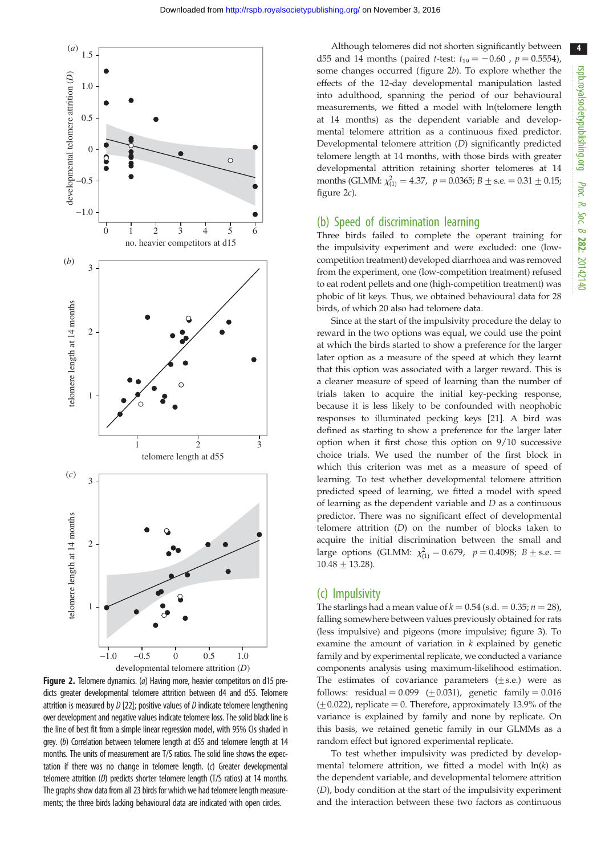<span id="page-3-0"></span>

Figure 2. Telomere dynamics. (a) Having more, heavier competitors on d15 predicts greater developmental telomere attrition between d4 and d55. Telomere attrition is measured by  $D$  [\[22](#page-6-0)]; positive values of  $D$  indicate telomere lengthening over development and negative values indicate telomere loss. The solid black line is the line of best fit from a simple linear regression model, with 95% CIs shaded in grey. (b) Correlation between telomere length at d55 and telomere length at 14 months. The units of measurement are T/S ratios. The solid line shows the expectation if there was no change in telomere length. (c) Greater developmental telomere attrition (D) predicts shorter telomere length (T/S ratios) at 14 months. The graphs show data from all 23 birds for which we had telomere length measurements; the three birds lacking behavioural data are indicated with open circles.

Although telomeres did not shorten significantly between d55 and 14 months (paired *t*-test:  $t_{19} = -0.60$ ,  $p = 0.5554$ ), some changes occurred (figure 2b). To explore whether the effects of the 12-day developmental manipulation lasted into adulthood, spanning the period of our behavioural measurements, we fitted a model with ln(telomere length at 14 months) as the dependent variable and developmental telomere attrition as a continuous fixed predictor. Developmental telomere attrition (D) significantly predicted telomere length at 14 months, with those birds with greater developmental attrition retaining shorter telomeres at 14 months (GLMM:  $\chi^2_{(1)} = 4.37$ ,  $p = 0.0365; B \pm$  s.e.  $= 0.31 \pm 0.15;$ figure 2c).

#### (b) Speed of discrimination learning

Three birds failed to complete the operant training for the impulsivity experiment and were excluded: one (lowcompetition treatment) developed diarrhoea and was removed from the experiment, one (low-competition treatment) refused to eat rodent pellets and one (high-competition treatment) was phobic of lit keys. Thus, we obtained behavioural data for 28 birds, of which 20 also had telomere data.

Since at the start of the impulsivity procedure the delay to reward in the two options was equal, we could use the point at which the birds started to show a preference for the larger later option as a measure of the speed at which they learnt that this option was associated with a larger reward. This is a cleaner measure of speed of learning than the number of trials taken to acquire the initial key-pecking response, because it is less likely to be confounded with neophobic responses to illuminated pecking keys [[21\]](#page-6-0). A bird was defined as starting to show a preference for the larger later option when it first chose this option on 9/10 successive choice trials. We used the number of the first block in which this criterion was met as a measure of speed of learning. To test whether developmental telomere attrition predicted speed of learning, we fitted a model with speed of learning as the dependent variable and D as a continuous predictor. There was no significant effect of developmental telomere attrition (D) on the number of blocks taken to acquire the initial discrimination between the small and large options (GLMM:  $\chi^2_{(1)} = 0.679$ ,  $p = 0.4098$ ;  $B \pm$  s.e. =  $10.48 \pm 13.28$ ).

#### (c) Impulsivity

The starlings had a mean value of  $k = 0.54$  (s.d.  $= 0.35; n = 28$ ), falling somewhere between values previously obtained for rats (less impulsive) and pigeons (more impulsive; [figure 3\)](#page-4-0). To examine the amount of variation in  $k$  explained by genetic family and by experimental replicate, we conducted a variance components analysis using maximum-likelihood estimation. The estimates of covariance parameters  $(\pm s.e.)$  were as follows: residual =  $0.099$  ( $\pm 0.031$ ), genetic family =  $0.016$  $(± 0.022)$ , replicate = 0. Therefore, approximately 13.9% of the variance is explained by family and none by replicate. On this basis, we retained genetic family in our GLMMs as a random effect but ignored experimental replicate.

To test whether impulsivity was predicted by developmental telomere attrition, we fitted a model with  $ln(k)$  as the dependent variable, and developmental telomere attrition (D), body condition at the start of the impulsivity experiment and the interaction between these two factors as continuous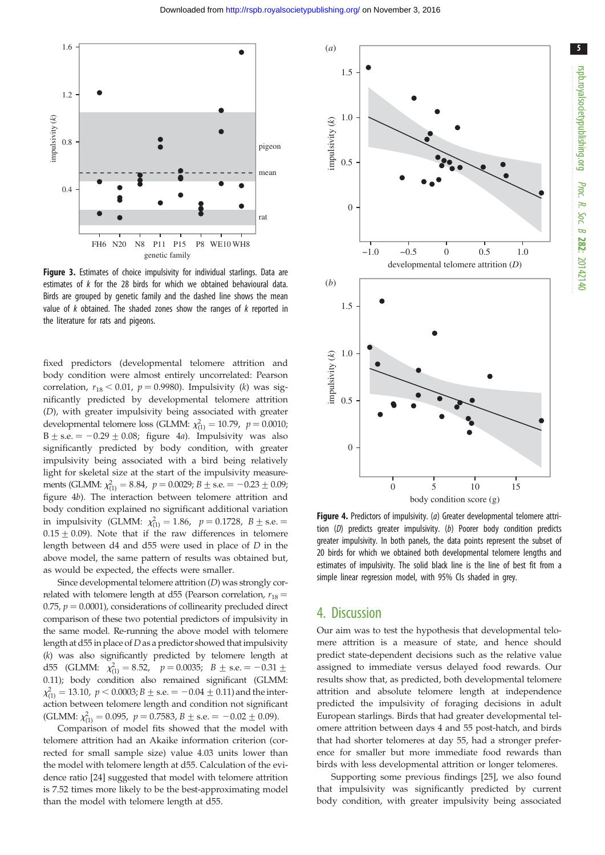<span id="page-4-0"></span>

Figure 3. Estimates of choice impulsivity for individual starlings. Data are estimates of k for the 28 birds for which we obtained behavioural data. Birds are grouped by genetic family and the dashed line shows the mean value of  $k$  obtained. The shaded zones show the ranges of  $k$  reported in the literature for rats and pigeons.

fixed predictors (developmental telomere attrition and body condition were almost entirely uncorrelated: Pearson correlation,  $r_{18}$  < 0.01,  $p = 0.9980$ ). Impulsivity (k) was significantly predicted by developmental telomere attrition (D), with greater impulsivity being associated with greater developmental telomere loss (GLMM:  $\chi^2_{(1)} = 10.79$ ,  $p = 0.0010$ ; B  $\pm$  s.e. = -0.29  $\pm$  0.08; figure 4*a*). Impulsivity was also significantly predicted by body condition, with greater impulsivity being associated with a bird being relatively light for skeletal size at the start of the impulsivity measurements (GLMM:  $\chi_{(1)}^2 = 8.84$ ,  $p = 0.0029$ ;  $B \pm$  s.e.  $= -0.23 \pm 0.09$ ; figure 4b). The interaction between telomere attrition and body condition explained no significant additional variation in impulsivity (GLMM:  $\chi^2_{(1)} = 1.86$ ,  $p = 0.1728$ ,  $B \pm$  s.e. =  $0.15 \pm 0.09$ ). Note that if the raw differences in telomere length between d4 and d55 were used in place of D in the above model, the same pattern of results was obtained but, as would be expected, the effects were smaller.

Since developmental telomere attrition (D) was strongly correlated with telomere length at d55 (Pearson correlation,  $r_{18}$  = 0.75,  $p = 0.0001$ ), considerations of collinearity precluded direct comparison of these two potential predictors of impulsivity in the same model. Re-running the above model with telomere length at d55 in place of D as a predictor showed that impulsivity (k) was also significantly predicted by telomere length at d55 (GLMM:  $\chi^2_{(1)} = 8.52$ ,  $p = 0.0035$ ;  $B \pm$  s.e.  $= -0.31 \pm$ 0.11); body condition also remained significant (GLMM:  $\chi^2_{(1)} = 13.10$ ,  $\,p < 0.0003; B \pm {\rm s.e.} = -0.04 \pm 0.11)$  and the interaction between telomere length and condition not significant (GLMM:  $\chi^2_{(1)} = 0.095$ ,  $p = 0.7583$ ,  $B \pm$  s.e.  $= -0.02 \pm 0.09$ ).

Comparison of model fits showed that the model with telomere attrition had an Akaike information criterion (corrected for small sample size) value 4.03 units lower than the model with telomere length at d55. Calculation of the evidence ratio [[24\]](#page-6-0) suggested that model with telomere attrition is 7.52 times more likely to be the best-approximating model than the model with telomere length at d55.



Figure 4. Predictors of impulsivity. (a) Greater developmental telomere attrition (D) predicts greater impulsivity. (b) Poorer body condition predicts greater impulsivity. In both panels, the data points represent the subset of 20 birds for which we obtained both developmental telomere lengths and estimates of impulsivity. The solid black line is the line of best fit from a simple linear regression model, with 95% CIs shaded in grey.

## 4. Discussion

Our aim was to test the hypothesis that developmental telomere attrition is a measure of state, and hence should predict state-dependent decisions such as the relative value assigned to immediate versus delayed food rewards. Our results show that, as predicted, both developmental telomere attrition and absolute telomere length at independence predicted the impulsivity of foraging decisions in adult European starlings. Birds that had greater developmental telomere attrition between days 4 and 55 post-hatch, and birds that had shorter telomeres at day 55, had a stronger preference for smaller but more immediate food rewards than birds with less developmental attrition or longer telomeres.

Supporting some previous findings [\[25](#page-6-0)], we also found that impulsivity was significantly predicted by current body condition, with greater impulsivity being associated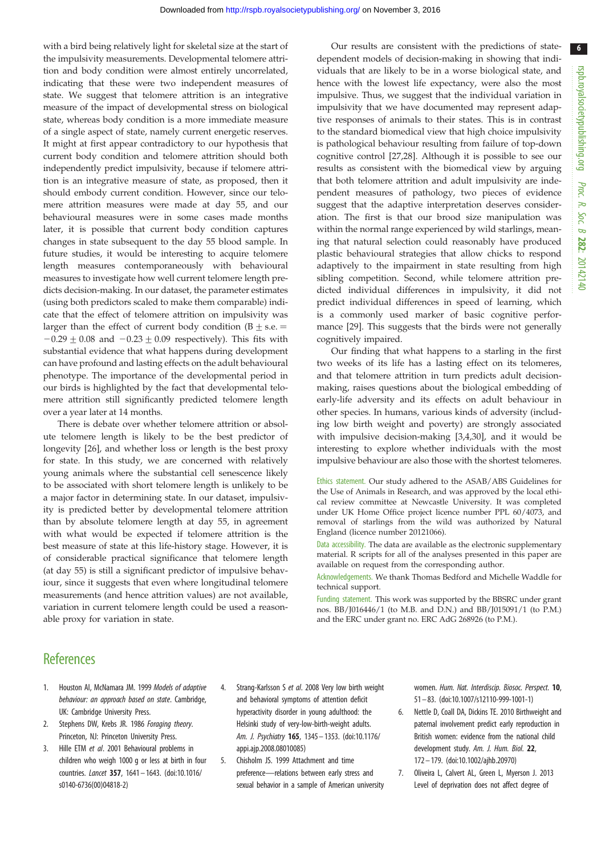<span id="page-5-0"></span>with a bird being relatively light for skeletal size at the start of the impulsivity measurements. Developmental telomere attrition and body condition were almost entirely uncorrelated, indicating that these were two independent measures of state. We suggest that telomere attrition is an integrative measure of the impact of developmental stress on biological state, whereas body condition is a more immediate measure of a single aspect of state, namely current energetic reserves. It might at first appear contradictory to our hypothesis that current body condition and telomere attrition should both independently predict impulsivity, because if telomere attrition is an integrative measure of state, as proposed, then it should embody current condition. However, since our telomere attrition measures were made at day 55, and our behavioural measures were in some cases made months later, it is possible that current body condition captures changes in state subsequent to the day 55 blood sample. In future studies, it would be interesting to acquire telomere length measures contemporaneously with behavioural measures to investigate how well current telomere length predicts decision-making. In our dataset, the parameter estimates (using both predictors scaled to make them comparable) indicate that the effect of telomere attrition on impulsivity was larger than the effect of current body condition ( $B \pm s.e.$  =  $-0.29 + 0.08$  and  $-0.23 + 0.09$  respectively). This fits with substantial evidence that what happens during development can have profound and lasting effects on the adult behavioural phenotype. The importance of the developmental period in our birds is highlighted by the fact that developmental telomere attrition still significantly predicted telomere length over a year later at 14 months.

There is debate over whether telomere attrition or absolute telomere length is likely to be the best predictor of longevity [\[26](#page-6-0)], and whether loss or length is the best proxy for state. In this study, we are concerned with relatively young animals where the substantial cell senescence likely to be associated with short telomere length is unlikely to be a major factor in determining state. In our dataset, impulsivity is predicted better by developmental telomere attrition than by absolute telomere length at day 55, in agreement with what would be expected if telomere attrition is the best measure of state at this life-history stage. However, it is of considerable practical significance that telomere length (at day 55) is still a significant predictor of impulsive behaviour, since it suggests that even where longitudinal telomere measurements (and hence attrition values) are not available, variation in current telomere length could be used a reasonable proxy for variation in state.

Our results are consistent with the predictions of statedependent models of decision-making in showing that individuals that are likely to be in a worse biological state, and hence with the lowest life expectancy, were also the most impulsive. Thus, we suggest that the individual variation in impulsivity that we have documented may represent adaptive responses of animals to their states. This is in contrast to the standard biomedical view that high choice impulsivity is pathological behaviour resulting from failure of top-down cognitive control [[27,28](#page-6-0)]. Although it is possible to see our results as consistent with the biomedical view by arguing that both telomere attrition and adult impulsivity are independent measures of pathology, two pieces of evidence suggest that the adaptive interpretation deserves consideration. The first is that our brood size manipulation was within the normal range experienced by wild starlings, meaning that natural selection could reasonably have produced plastic behavioural strategies that allow chicks to respond adaptively to the impairment in state resulting from high sibling competition. Second, while telomere attrition predicted individual differences in impulsivity, it did not predict individual differences in speed of learning, which is a commonly used marker of basic cognitive performance [[29\]](#page-6-0). This suggests that the birds were not generally cognitively impaired.

Our finding that what happens to a starling in the first two weeks of its life has a lasting effect on its telomeres, and that telomere attrition in turn predicts adult decisionmaking, raises questions about the biological embedding of early-life adversity and its effects on adult behaviour in other species. In humans, various kinds of adversity (including low birth weight and poverty) are strongly associated with impulsive decision-making [3,4,[30\]](#page-6-0), and it would be interesting to explore whether individuals with the most impulsive behaviour are also those with the shortest telomeres.

Ethics statement. Our study adhered to the ASAB/ABS Guidelines for the Use of Animals in Research, and was approved by the local ethical review committee at Newcastle University. It was completed under UK Home Office project licence number PPL 60/4073, and removal of starlings from the wild was authorized by Natural England (licence number 20121066).

Data accessibility. The data are available as the electronic supplementary material. R scripts for all of the analyses presented in this paper are available on request from the corresponding author.

Acknowledgements. We thank Thomas Bedford and Michelle Waddle for technical support.

Funding statement. This work was supported by the BBSRC under grant nos. BB/J016446/1 (to M.B. and D.N.) and BB/J015091/1 (to P.M.) and the ERC under grant no. ERC AdG 268926 (to P.M.).

# **References**

- 1. Houston AI, McNamara JM. 1999 Models of adaptive behaviour: an approach based on state. Cambridge, UK: Cambridge University Press.
- 2. Stephens DW, Krebs JR. 1986 Foraging theory. Princeton, NJ: Princeton University Press.
- 3. Hille ETM et al. 2001 Behavioural problems in children who weigh 1000 g or less at birth in four countries. Lancet 357, 1641 – 1643. [\(doi:10.1016/](http://dx.doi.org/10.1016/s0140-6736(00)04818-2) [s0140-6736\(00\)04818-2\)](http://dx.doi.org/10.1016/s0140-6736(00)04818-2)
- 4. Strang-Karlsson S et al. 2008 Very low birth weight and behavioral symptoms of attention deficit hyperactivity disorder in young adulthood: the Helsinki study of very-low-birth-weight adults. Am. J. Psychiatry 165, 1345– 1353. ([doi:10.1176/](http://dx.doi.org/10.1176/appi.ajp.2008.08010085) [appi.ajp.2008.08010085\)](http://dx.doi.org/10.1176/appi.ajp.2008.08010085)
- 5. Chisholm JS. 1999 Attachment and time preference—relations between early stress and sexual behavior in a sample of American university

women. Hum. Nat. Interdiscip. Biosoc. Perspect. 10, 51– 83. [\(doi:10.1007/s12110-999-1001-1\)](http://dx.doi.org/10.1007/s12110-999-1001-1)

- 6. Nettle D, Coall DA, Dickins TE. 2010 Birthweight and paternal involvement predict early reproduction in British women: evidence from the national child development study. Am. J. Hum. Biol. 22, 172– 179. [\(doi:10.1002/ajhb.20970](http://dx.doi.org/10.1002/ajhb.20970))
- 7. Oliveira L, Calvert AL, Green L, Myerson J. 2013 Level of deprivation does not affect degree of